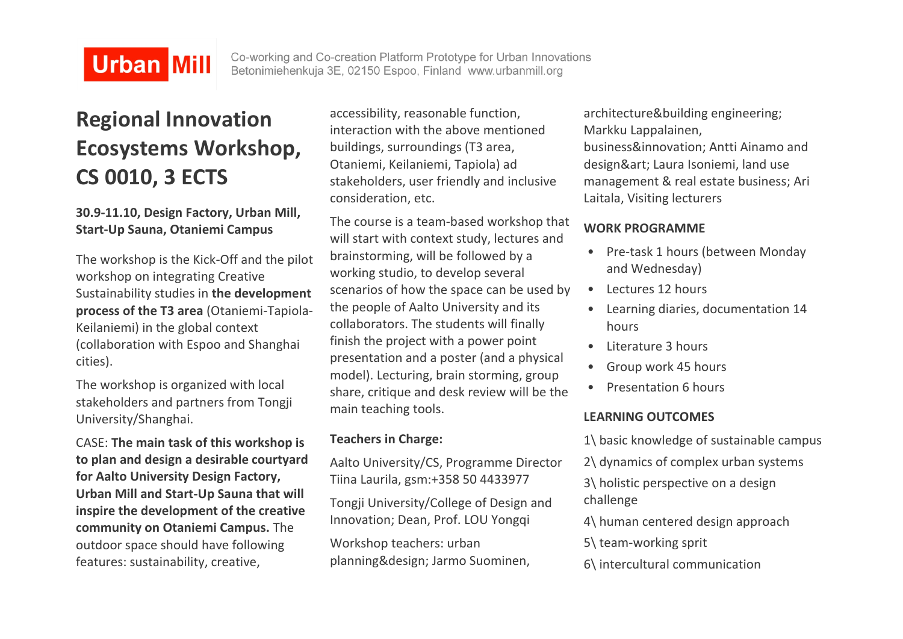# **Urban Mill**

Co-working and Co-creation Platform Prototype for Urban Innovations Betonimiehenkuja 3E, 02150 Espoo, Finland www.urbanmill.org

# **Regional Innovation Ecosystems Workshop, CS 0010, 3 ECTS**

## **30.9-11.10, Design Factory, Urban Mill, Start-Up Sauna, Otaniemi Campus**

The workshop is the Kick-Off and the pilot workshop on integrating Creative Sustainability studies in **the development process of the T3 area** (Otaniemi-Tapiola-Keilaniemi) in the global context (collaboration with Espoo and Shanghai cities).

The workshop is organized with local stakeholders and partners from Tongji University/Shanghai.

CASE: **The main task of this workshop is to plan and design a desirable courtyard for Aalto University Design Factory, Urban Mill and Start-Up Sauna that will inspire the development of the creative community on Otaniemi Campus.** The outdoor space should have following features: sustainability, creative,

accessibility, reasonable function, interaction with the above mentioned buildings, surroundings (T3 area, Otaniemi, Keilaniemi, Tapiola) ad stakeholders, user friendly and inclusive consideration, etc.

The course is a team-based workshop that will start with context study, lectures and brainstorming, will be followed by a working studio, to develop several scenarios of how the space can be used by the people of Aalto University and its collaborators. The students will finally finish the project with a power point presentation and a poster (and a physical model). Lecturing, brain storming, group share, critique and desk review will be the main teaching tools.

### **Teachers in Charge:**

Aalto University/CS, Programme Director Tiina Laurila, gsm:+358 50 4433977

Tongji University/College of Design and Innovation; Dean, Prof. LOU Yongqi

Workshop teachers: urban planning&design; Jarmo Suominen, architecture&building engineering; Markku Lappalainen, business&innovation; Antti Ainamo and design&art; Laura Isoniemi, land use management & real estate business; Ari Laitala, Visiting lecturers

## **WORK PROGRAMME**

- Pre-task 1 hours (between Monday and Wednesday)
- Lectures 12 hours
- Learning diaries, documentation 14 hours
- Literature 3 hours
- Group work 45 hours
- Presentation 6 hours

## **LEARNING OUTCOMES**

- 1\ basic knowledge of sustainable campus
- 2\ dynamics of complex urban systems

3\ holistic perspective on a design challenge

- 4\ human centered design approach
- 5\ team-working sprit
- 6\ intercultural communication